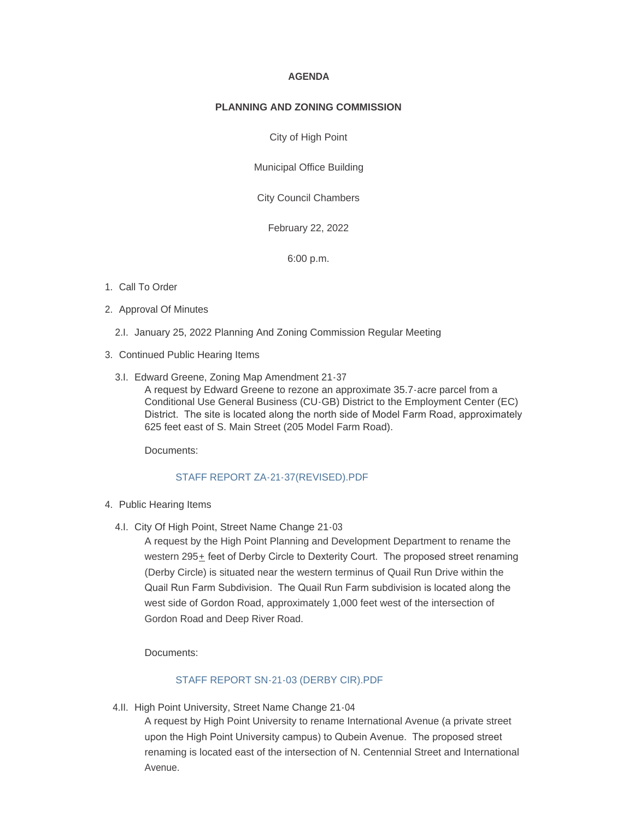#### **AGENDA**

### **PLANNING AND ZONING COMMISSION**

City of High Point

Municipal Office Building

City Council Chambers

February 22, 2022

6:00 p.m.

## 1. Call To Order

- 2. Approval Of Minutes
	- 2.I. January 25, 2022 Planning And Zoning Commission Regular Meeting
- 3. Continued Public Hearing Items
	- Edward Greene, Zoning Map Amendment 21-37 3.I.

A request by Edward Greene to rezone an approximate 35.7-acre parcel from a Conditional Use General Business (CU-GB) District to the Employment Center (EC) District. The site is located along the north side of Model Farm Road, approximately 625 feet east of S. Main Street (205 Model Farm Road).

Documents:

## [STAFF REPORT ZA-21-37\(REVISED\).PDF](https://www.highpointnc.gov/AgendaCenter/ViewFile/Item/1511?fileID=55553)

### 4. Public Hearing Items

4.I. City Of High Point, Street Name Change 21-03

A request by the High Point Planning and Development Department to rename the western 295<sup>+</sup> feet of Derby Circle to Dexterity Court. The proposed street renaming (Derby Circle) is situated near the western terminus of Quail Run Drive within the Quail Run Farm Subdivision. The Quail Run Farm subdivision is located along the west side of Gordon Road, approximately 1,000 feet west of the intersection of Gordon Road and Deep River Road.

Documents:

## [STAFF REPORT SN-21-03 \(DERBY CIR\).PDF](https://www.highpointnc.gov/AgendaCenter/ViewFile/Item/1512?fileID=55554)

4.II. High Point University, Street Name Change 21-04

A request by High Point University to rename International Avenue (a private street upon the High Point University campus) to Qubein Avenue. The proposed street renaming is located east of the intersection of N. Centennial Street and International Avenue.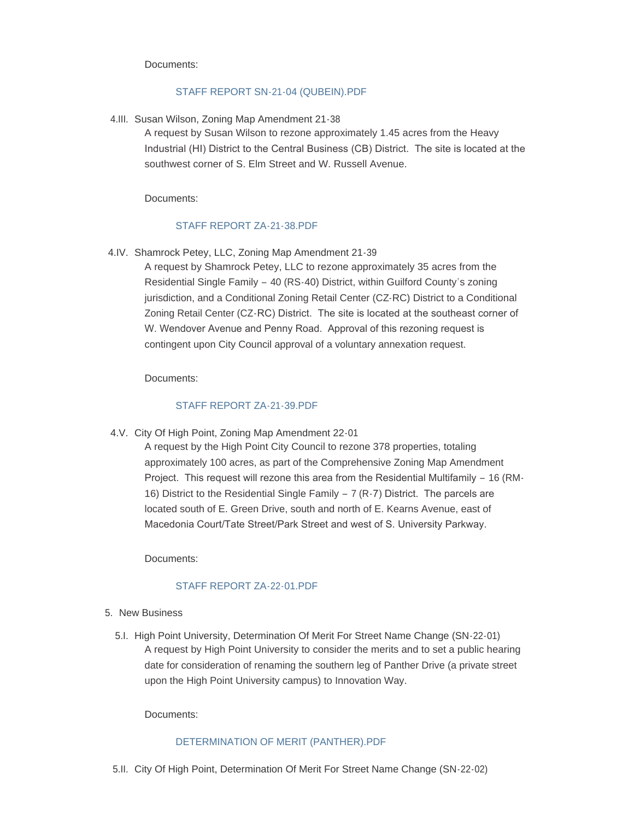Documents:

## [STAFF REPORT SN-21-04 \(QUBEIN\).PDF](https://www.highpointnc.gov/AgendaCenter/ViewFile/Item/1513?fileID=55555)

4.III. Susan Wilson, Zoning Map Amendment 21-38

A request by Susan Wilson to rezone approximately 1.45 acres from the Heavy Industrial (HI) District to the Central Business (CB) District. The site is located at the southwest corner of S. Elm Street and W. Russell Avenue.

Documents:

# [STAFF REPORT ZA-21-38.PDF](https://www.highpointnc.gov/AgendaCenter/ViewFile/Item/1514?fileID=55556)

4.IV. Shamrock Petey, LLC, Zoning Map Amendment 21-39

A request by Shamrock Petey, LLC to rezone approximately 35 acres from the Residential Single Family – 40 (RS-40) District, within Guilford County's zoning jurisdiction, and a Conditional Zoning Retail Center (CZ-RC) District to a Conditional Zoning Retail Center (CZ-RC) District. The site is located at the southeast corner of W. Wendover Avenue and Penny Road. Approval of this rezoning request is contingent upon City Council approval of a voluntary annexation request.

Documents:

# [STAFF REPORT ZA-21-39.PDF](https://www.highpointnc.gov/AgendaCenter/ViewFile/Item/1515?fileID=55557)

4.V. City Of High Point, Zoning Map Amendment 22-01

A request by the High Point City Council to rezone 378 properties, totaling approximately 100 acres, as part of the Comprehensive Zoning Map Amendment Project. This request will rezone this area from the Residential Multifamily – 16 (RM-16) District to the Residential Single Family – 7 (R-7) District. The parcels are located south of E. Green Drive, south and north of E. Kearns Avenue, east of Macedonia Court/Tate Street/Park Street and west of S. University Parkway.

Documents:

# [STAFF REPORT ZA-22-01.PDF](https://www.highpointnc.gov/AgendaCenter/ViewFile/Item/1516?fileID=55558)

- 5. New Business
	- 5.I. High Point University, Determination Of Merit For Street Name Change (SN-22-01) A request by High Point University to consider the merits and to set a public hearing date for consideration of renaming the southern leg of Panther Drive (a private street upon the High Point University campus) to Innovation Way.

Documents:

## [DETERMINATION OF MERIT \(PANTHER\).PDF](https://www.highpointnc.gov/AgendaCenter/ViewFile/Item/1517?fileID=55559)

5.II. City Of High Point, Determination Of Merit For Street Name Change (SN-22-02)